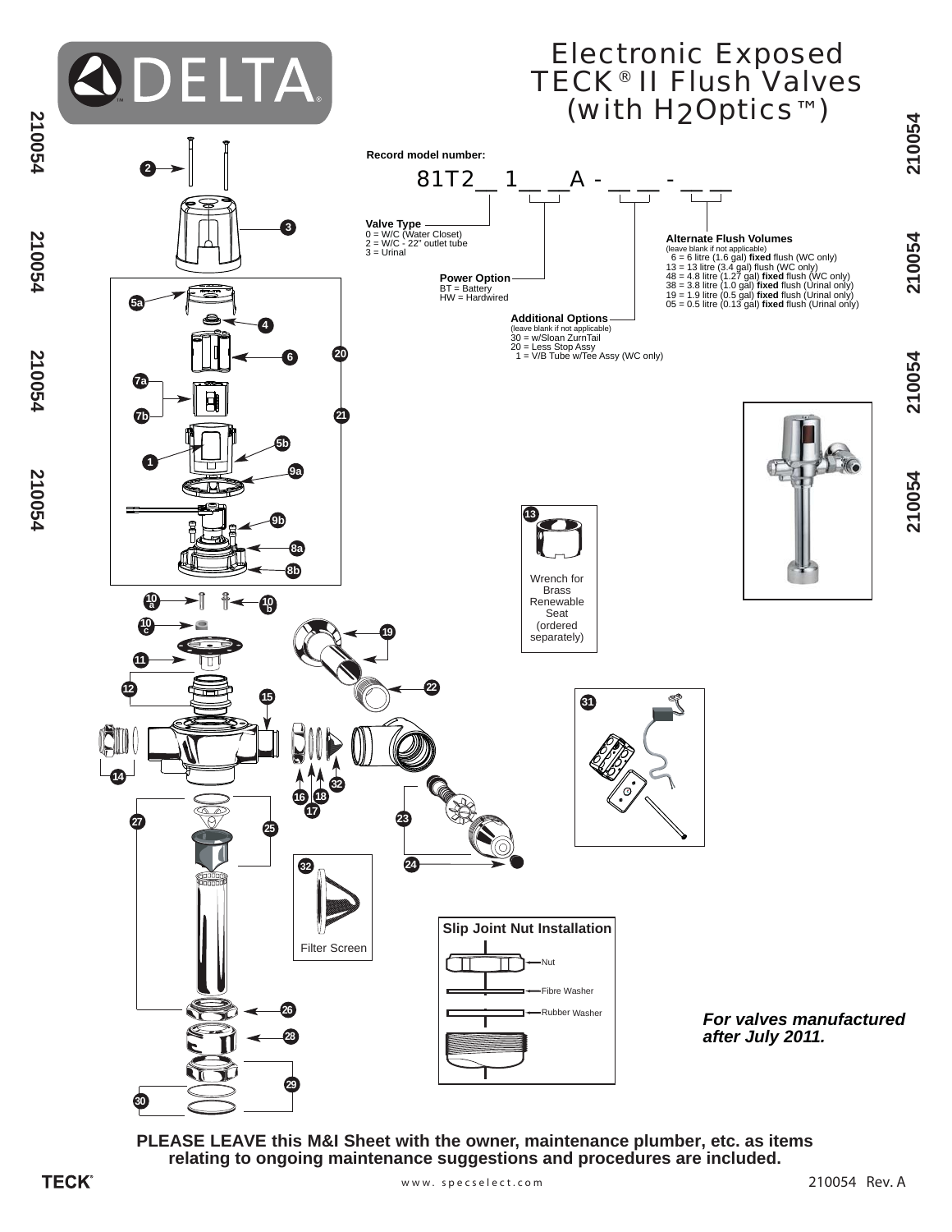

**PLEASE LEAVE this M&I Sheet with the owner, maintenance plumber, etc. as items relating to ongoing maintenance suggestions and procedures are included.**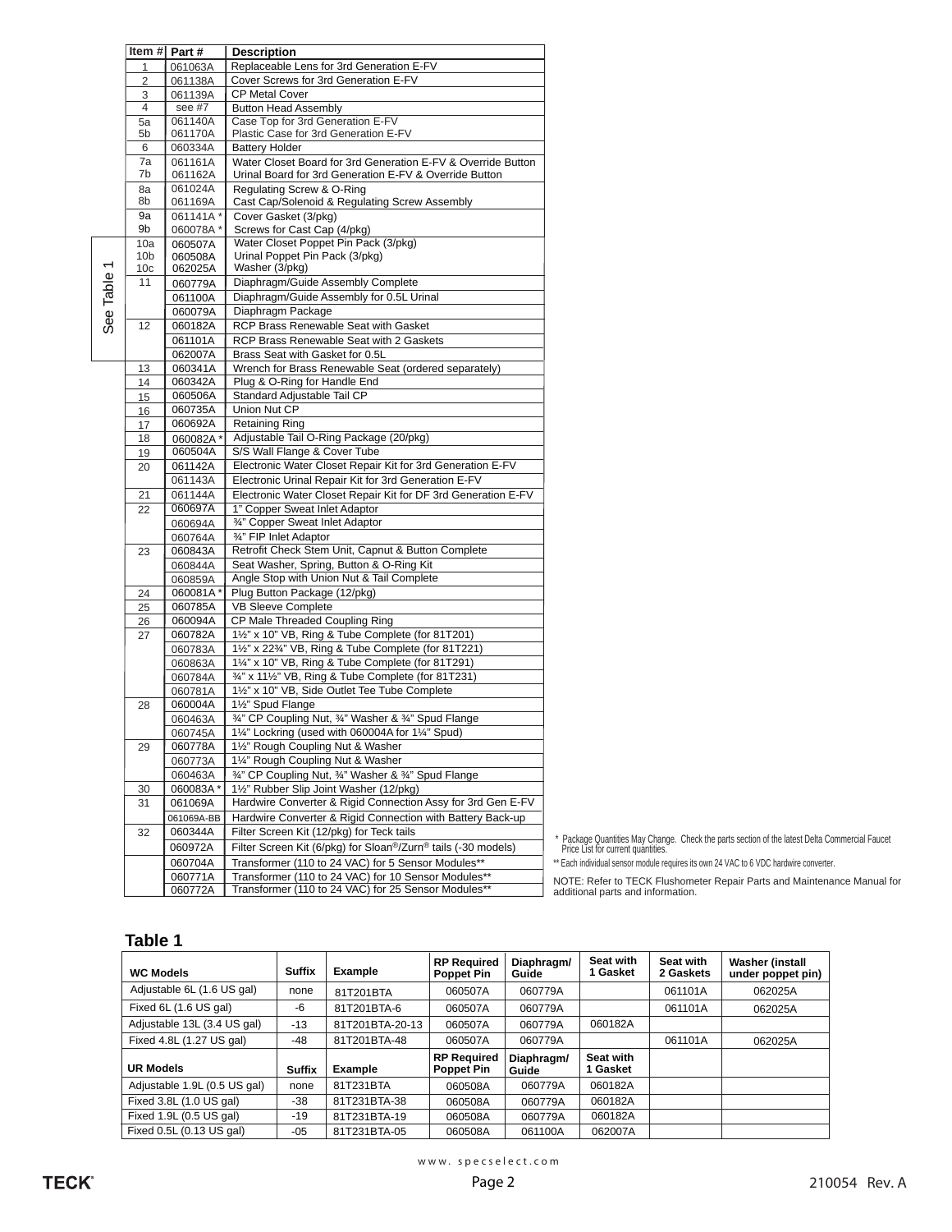|                | Item # $Part #$<br><b>Description</b> |                     |                                                                                                                        |                                       |  |  |
|----------------|---------------------------------------|---------------------|------------------------------------------------------------------------------------------------------------------------|---------------------------------------|--|--|
| 1<br>061063A   |                                       |                     | Replaceable Lens for 3rd Generation E-FV                                                                               |                                       |  |  |
|                | 2                                     | 061138A             | Cover Screws for 3rd Generation E-FV                                                                                   |                                       |  |  |
|                | 3                                     | 061139A             | <b>CP Metal Cover</b>                                                                                                  |                                       |  |  |
|                | 4                                     | see #7              | <b>Button Head Assembly</b>                                                                                            |                                       |  |  |
|                | 5a                                    | 061140A             | Case Top for 3rd Generation E-FV                                                                                       |                                       |  |  |
|                | 5b                                    | 061170A             | Plastic Case for 3rd Generation E-FV                                                                                   |                                       |  |  |
|                | 6                                     | 060334A             | <b>Battery Holder</b>                                                                                                  |                                       |  |  |
|                | 7a<br>7b                              | 061161A<br>061162A  | Water Closet Board for 3rd Generation E-FV & Override Button<br>Urinal Board for 3rd Generation E-FV & Override Button |                                       |  |  |
|                | 8a                                    | 061024A             | Regulating Screw & O-Ring                                                                                              |                                       |  |  |
|                | 8b                                    | 061169A             | Cast Cap/Solenoid & Regulating Screw Assembly                                                                          |                                       |  |  |
|                | 9а                                    | 061141A*            | Cover Gasket (3/pkg)                                                                                                   |                                       |  |  |
|                | 9b                                    | 060078A*            | Screws for Cast Cap (4/pkg)                                                                                            |                                       |  |  |
|                | 10a                                   | 060507A             | Water Closet Poppet Pin Pack (3/pkg)                                                                                   |                                       |  |  |
| $\overline{ }$ | 10 <sub>b</sub>                       | 060508A             | Urinal Poppet Pin Pack (3/pkg)                                                                                         |                                       |  |  |
|                | 10c                                   | 062025A             | Washer (3/pkg)                                                                                                         |                                       |  |  |
|                | 11                                    | 060779A             | Diaphragm/Guide Assembly Complete                                                                                      |                                       |  |  |
|                |                                       | 061100A             | Diaphragm/Guide Assembly for 0.5L Urinal                                                                               |                                       |  |  |
| See Table      |                                       | 060079A             | Diaphragm Package<br>RCP Brass Renewable Seat with Gasket                                                              |                                       |  |  |
|                | 12                                    | 060182A             |                                                                                                                        |                                       |  |  |
|                |                                       | 061101A<br>062007A  | RCP Brass Renewable Seat with 2 Gaskets<br>Brass Seat with Gasket for 0.5L                                             |                                       |  |  |
|                | 13                                    | 060341A             | Wrench for Brass Renewable Seat (ordered separately)                                                                   |                                       |  |  |
|                | 14                                    | 060342A             | Plug & O-Ring for Handle End                                                                                           |                                       |  |  |
|                | 15                                    | 060506A             | Standard Adjustable Tail CP                                                                                            |                                       |  |  |
|                | 16                                    | 060735A             | <b>Union Nut CP</b>                                                                                                    |                                       |  |  |
|                | 17                                    | 060692A             | <b>Retaining Ring</b>                                                                                                  |                                       |  |  |
|                | 18                                    | 060082A*            | Adjustable Tail O-Ring Package (20/pkg)                                                                                |                                       |  |  |
|                | 19                                    | 060504A             | S/S Wall Flange & Cover Tube                                                                                           |                                       |  |  |
|                | 20                                    | 061142A             | Electronic Water Closet Repair Kit for 3rd Generation E-FV                                                             |                                       |  |  |
|                |                                       | 061143A             | Electronic Urinal Repair Kit for 3rd Generation E-FV                                                                   |                                       |  |  |
|                | 21                                    | 061144A             | Electronic Water Closet Repair Kit for DF 3rd Generation E-FV                                                          |                                       |  |  |
|                | 22                                    | 060697A             | 1" Copper Sweat Inlet Adaptor                                                                                          |                                       |  |  |
|                |                                       | 060694A             | 3/4" Copper Sweat Inlet Adaptor                                                                                        |                                       |  |  |
|                |                                       | 060764A             | 3/4" FIP Inlet Adaptor                                                                                                 |                                       |  |  |
|                | 23                                    | 060843A             | Retrofit Check Stem Unit, Capnut & Button Complete                                                                     |                                       |  |  |
|                |                                       | 060844A             | Seat Washer, Spring, Button & O-Ring Kit<br>Angle Stop with Union Nut & Tail Complete                                  |                                       |  |  |
|                | 24                                    | 060859A<br>060081A* | Plug Button Package (12/pkg)                                                                                           |                                       |  |  |
|                | 25                                    | 060785A             | VB Sleeve Complete                                                                                                     |                                       |  |  |
|                | 26                                    | 060094A             | CP Male Threaded Coupling Ring                                                                                         |                                       |  |  |
|                | 27                                    | 060782A             | 11/2" x 10" VB, Ring & Tube Complete (for 81T201)                                                                      |                                       |  |  |
|                |                                       | 060783A             | 1½" x 22%" VB, Ring & Tube Complete (for 81T221)                                                                       |                                       |  |  |
|                |                                       | 060863A             | 1¼" x 10" VB, Ring & Tube Complete (for 81T291)                                                                        |                                       |  |  |
|                |                                       | 060784A             | 3/4" x 111/2" VB, Ring & Tube Complete (for 81T231)                                                                    |                                       |  |  |
|                |                                       | 060781A             | 11/2" x 10" VB, Side Outlet Tee Tube Complete                                                                          |                                       |  |  |
|                | 28                                    | 060004A             | 11/2" Spud Flange                                                                                                      |                                       |  |  |
|                |                                       | 060463A             | 3/4" CP Coupling Nut, 3/4" Washer & 3/4" Spud Flange                                                                   |                                       |  |  |
|                |                                       | 060745A             | 1¼" Lockring (used with 060004A for 1¼" Spud)                                                                          |                                       |  |  |
|                | 29                                    | 060778A             | 11/2" Rough Coupling Nut & Washer                                                                                      |                                       |  |  |
|                |                                       | 060773A             | 11/4" Rough Coupling Nut & Washer                                                                                      |                                       |  |  |
|                |                                       | 060463A             | 3/4" CP Coupling Nut, 3/4" Washer & 3/4" Spud Flange<br>11/2" Rubber Slip Joint Washer (12/pkg)                        |                                       |  |  |
|                | 30<br>31                              | 060083A*<br>061069A | Hardwire Converter & Rigid Connection Assy for 3rd Gen E-FV                                                            |                                       |  |  |
|                |                                       | 061069A-BB          | Hardwire Converter & Rigid Connection with Battery Back-up                                                             |                                       |  |  |
|                | 32                                    | 060344A             | Filter Screen Kit (12/pkg) for Teck tails                                                                              |                                       |  |  |
|                |                                       | 060972A             | Filter Screen Kit (6/pkg) for Sloan <sup>®</sup> /Zurn <sup>®</sup> tails (-30 models)                                 | * Package Qua                         |  |  |
|                |                                       | 060704A             | Transformer (110 to 24 VAC) for 5 Sensor Modules**                                                                     | Price List for o<br>** Each individua |  |  |
|                |                                       | 060771A             | Transformer (110 to 24 VAC) for 10 Sensor Modules**                                                                    |                                       |  |  |
|                |                                       | 060772A             | Transformer (110 to 24 VAC) for 25 Sensor Modules**                                                                    | NOTE: Refe<br>additional pa           |  |  |
|                |                                       |                     |                                                                                                                        |                                       |  |  |

\* Package Quantities May Change. Check the parts section of the latest Delta Commercial Faucet Price List for current quantities.

al sensor module requires its own 24 VAC to 6 VDC hardwire converter.

NOTE: Refer to TECK Flushometer Repair Parts and Maintenance Manual for additional parts and information.

### **Table 1**

| <b>WC Models</b>             | <b>Suffix</b> | Example         | <b>RP Required</b><br><b>Poppet Pin</b> | Diaphragm/<br>Guide | Seat with<br>1 Gasket | Seat with<br>2 Gaskets | <b>Washer (install</b><br>under poppet pin) |
|------------------------------|---------------|-----------------|-----------------------------------------|---------------------|-----------------------|------------------------|---------------------------------------------|
| Adjustable 6L (1.6 US gal)   | none          | 81T201BTA       | 060507A                                 | 060779A             |                       | 061101A                | 062025A                                     |
| Fixed 6L (1.6 US gal)        | -6            | 81T201BTA-6     | 060507A                                 | 060779A             |                       | 061101A                | 062025A                                     |
| Adjustable 13L (3.4 US gal)  | $-13$         | 81T201BTA-20-13 | 060507A                                 | 060779A             | 060182A               |                        |                                             |
| Fixed 4.8L (1.27 US gal)     | $-48$         | 81T201BTA-48    | 060507A                                 | 060779A             |                       | 061101A                | 062025A                                     |
| <b>UR Models</b>             | <b>Suffix</b> | Example         | <b>RP Required</b><br><b>Poppet Pin</b> | Diaphragm/<br>Guide | Seat with<br>Gasket   |                        |                                             |
| Adjustable 1.9L (0.5 US gal) | none          | 81T231BTA       | 060508A                                 | 060779A             | 060182A               |                        |                                             |
| Fixed 3.8L (1.0 US gal)      | $-38$         | 81T231BTA-38    | 060508A                                 | 060779A             | 060182A               |                        |                                             |
| Fixed 1.9L (0.5 US gal)      | $-19$         | 81T231BTA-19    | 060508A                                 | 060779A             | 060182A               |                        |                                             |
| Fixed 0.5L (0.13 US gal)     | $-05$         | 81T231BTA-05    | 060508A                                 | 061100A             | 062007A               |                        |                                             |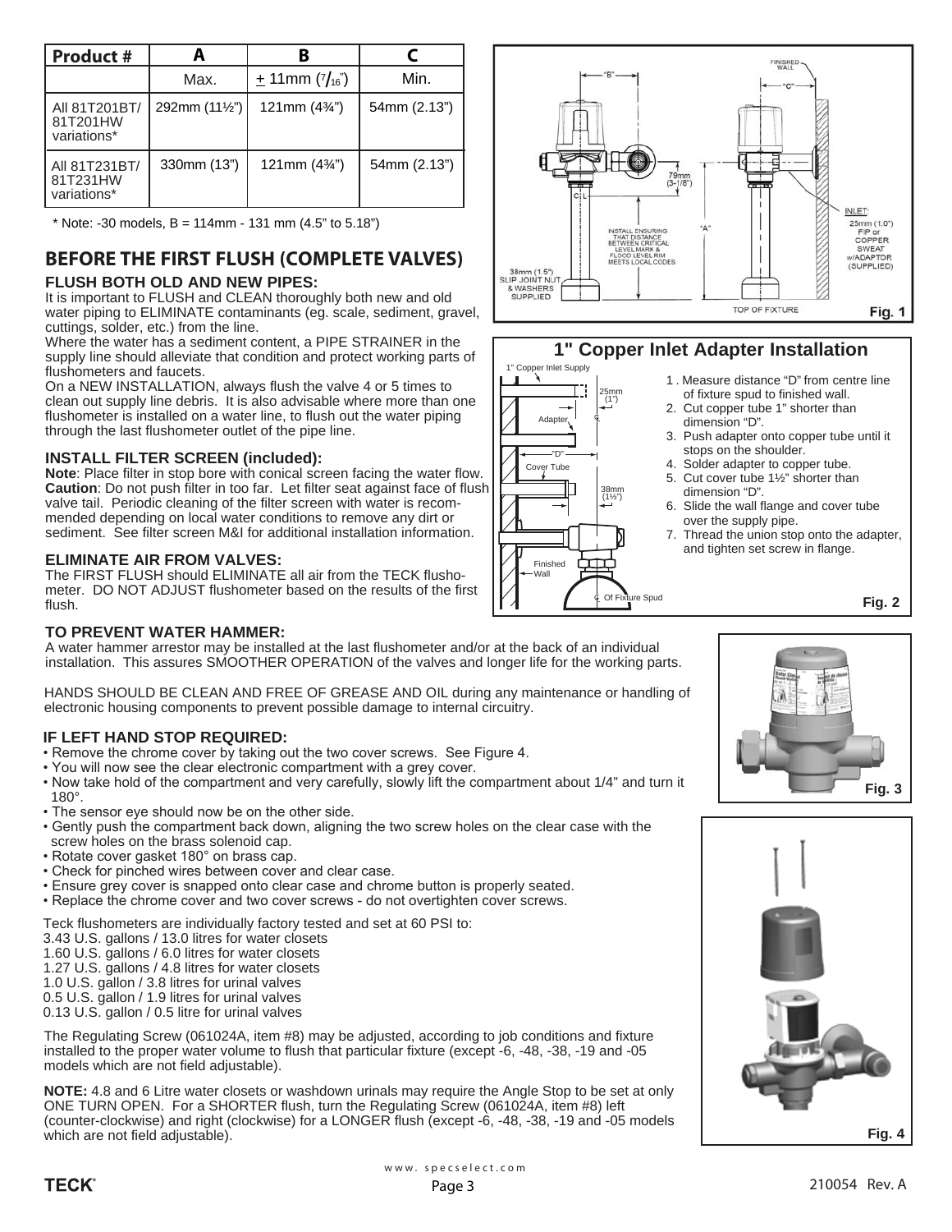| <b>Product #</b>                         |                         | B                      |              |  |
|------------------------------------------|-------------------------|------------------------|--------------|--|
|                                          | Max.                    | $\pm$ 11mm ( $7/16$ )  | Min.         |  |
| All 81T201BT/<br>81T201HW<br>variations* | 292mm $(11\frac{1}{2})$ | 121mm $(4\frac{3}{4})$ | 54mm (2.13") |  |
| All 81T231BT/<br>81T231HW<br>variations* | 330mm (13")             | 121mm $(4\frac{3}{4})$ | 54mm (2.13") |  |

 $*$  Note: -30 models, B = 114mm - 131 mm (4.5" to 5.18")

# **BEFORE THE FIRST FLUSH (COMPLETE VALVES)**

## **FLUSH BOTH OLD AND NEW PIPES:**

It is important to FLUSH and CLEAN thoroughly both new and old water piping to ELIMINATE contaminants (eg. scale, sediment, gravel, cuttings, solder, etc.) from the line.

Where the water has a sediment content, a PIPE STRAINER in the supply line should alleviate that condition and protect working parts of flushometers and faucets.

On a NEW INSTALLATION, always flush the valve 4 or 5 times to clean out supply line debris. It is also advisable where more than one flushometer is installed on a water line, to flush out the water piping through the last flushometer outlet of the pipe line.

## **INSTALL FILTER SCREEN (included):**

**Note**: Place filter in stop bore with conical screen facing the water flow. **Caution**: Do not push filter in too far. Let filter seat against face of flush valve tail. Periodic cleaning of the filter screen with water is recommended depending on local water conditions to remove any dirt or sediment. See filter screen M&I for additional installation information.

## **ELIMINATE AIR FROM VALVES:**

The FIRST FLUSH should ELIMINATE all air from the TECK flushometer. DO NOT ADJUST flushometer based on the results of the first flush.



A water hammer arrestor may be installed at the last flushometer and/or at the back of an individual installation. This assures SMOOTHER OPERATION of the valves and longer life for the working parts.

HANDS SHOULD BE CLEAN AND FREE OF GREASE AND OIL during any maintenance or handling of electronic housing components to prevent possible damage to internal circuitry.

## **IF LEFT HAND STOP REQUIRED:**

- Remove the chrome cover by taking out the two cover screws. See Figure 4.
- . You will now see the clear electronic compartment with a grey cover.
- Now take hold of the compartment and very carefully, slowly lift the compartment about 1/4" and turn it 180°.
- The sensor eye should now be on the other side.
- Gently push the compartment back down, aligning the two screw holes on the clear case with the screw holes on the brass solenoid cap.
- Rotate cover gasket 180° on brass cap.
- Check for pinched wires between cover and clear case.
- Ensure grey cover is snapped onto clear case and chrome button is properly seated.
- Replace the chrome cover and two cover screws do not overtighten cover screws.

Teck flushometers are individually factory tested and set at 60 PSI to:

- 3.43 U.S. gallons / 13.0 litres for water closets
- 1.60 U.S. gallons / 6.0 litres for water closets
- 1.27 U.S. gallons / 4.8 litres for water closets

1.0 U.S. gallon / 3.8 litres for urinal valves

0.5 U.S. gallon / 1.9 litres for urinal valves 0.13 U.S. gallon / 0.5 litre for urinal valves

The Regulating Screw (061024A, item #8) may be adjusted, according to job conditions and fixture installed to the proper water volume to flush that particular fixture (except -6, -48, -38, -19 and -05 models which are not field adjustable).

**NOTE:** 4.8 and 6 Litre water closets or washdown urinals may require the Angle Stop to be set at only ONE TURN OPEN. For a SHORTER flush, turn the Regulating Screw (061024A, item #8) left (counter-clockwise) and right (clockwise) for a LONGER flush (except -6, -48, -38, -19 and -05 models which are not field adjustable).



# **1" Copper Inlet Adapter Installation**



1 . Measure distance "D" from centre line of fixture spud to finished wall.

- 2. Cut copper tube 1" shorter than dimension "D".
- 3. Push adapter onto copper tube until it stops on the shoulder.
- 4. Solder adapter to copper tube.
- 5. Cut cover tube 1½" shorter than dimension "D".
- 6. Slide the wall flange and cover tube over the supply pipe.
- 7. Thread the union stop onto the adapter, and tighten set screw in flange.

**Fig. 2**



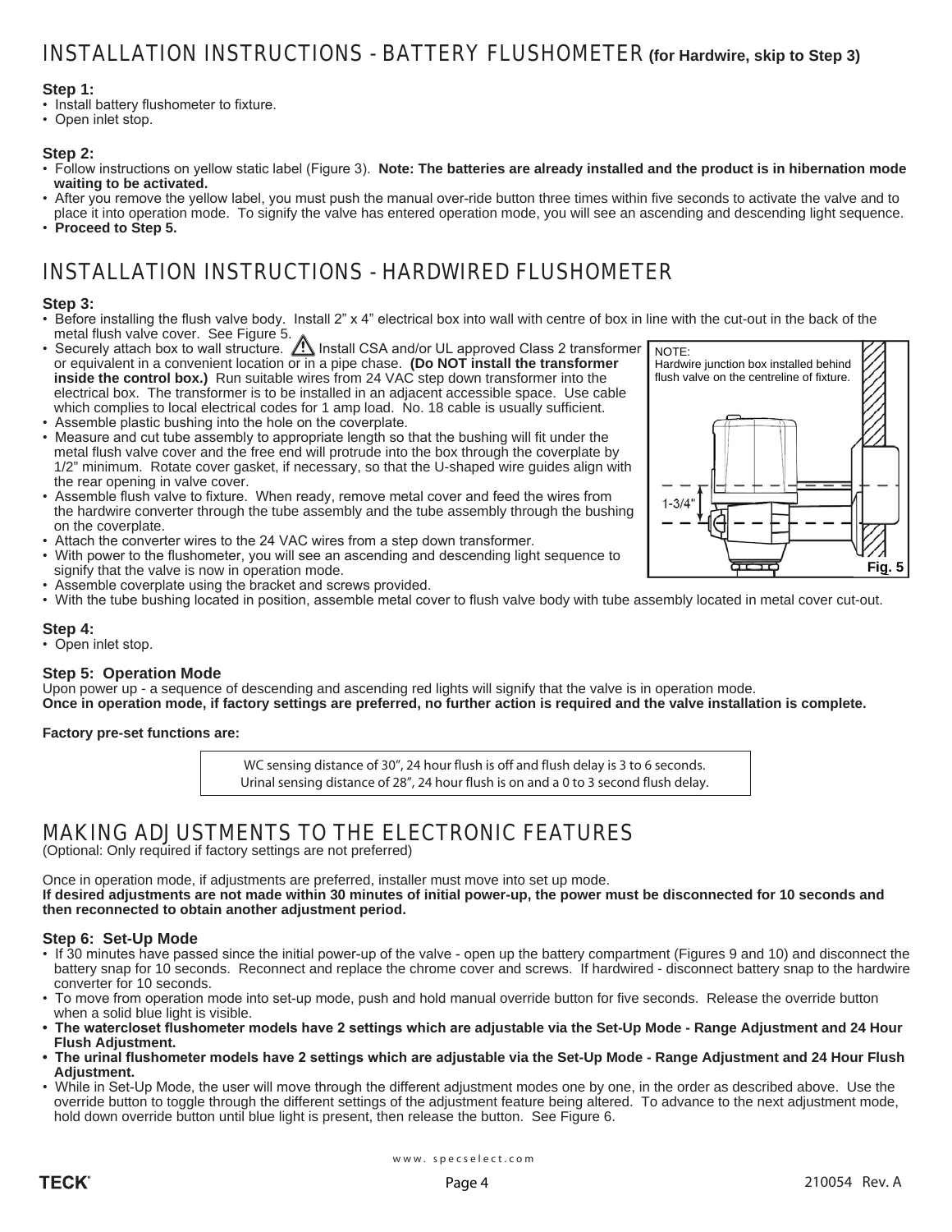## INSTALLATION INSTRUCTIONS - BATTERY FLUSHOMETER **(for Hardwire, skip to Step 3)**

### **Step 1:**

- Install battery flushometer to fixture.
- Open inlet stop.

### **Step 2:**

- Follow instructions on yellow static label (Figure 3). Note: The batteries are already installed and the product is in hibernation mode  **waiting to be activated.**
- . After you remove the yellow label, you must push the manual over-ride button three times within five seconds to activate the valve and to place it into operation mode. To signify the valve has entered operation mode, you will see an ascending and descending light sequence.
- **Proceed to Step 5.**

# INSTALLATION INSTRUCTIONS - HARDWIRED FLUSHOMETER

### **Step 3:**

- Before installing the flush valve body. Install 2" x 4" electrical box into wall with centre of box in line with the cut-out in the back of the metal flush valve cover. See Figure 5.
- Securely attach box to wall structure.  $\triangle$  Install CSA and/or UL approved Class 2 transformer or equivalent in a convenient location or in a pipe chase. **(Do NOT install the transformer inside the control box.)** Run suitable wires from 24 VAC step down transformer into the electrical box. The transformer is to be installed in an adjacent accessible space. Use cable which complies to local electrical codes for 1 amp load. No. 18 cable is usually sufficient.
- . Assemble plastic bushing into the hole on the coverplate.
- Measure and cut tube assembly to appropriate length so that the bushing will fit under the metal flush valve cover and the free end will protrude into the box through the coverplate by 1/2" minimum. Rotate cover gasket, if necessary, so that the U-shaped wire guides align with the rear opening in valve cover.
- . Assemble flush valve to fixture. When ready, remove metal cover and feed the wires from the hardwire converter through the tube assembly and the tube assembly through the bushing on the coverplate.
- . Attach the converter wires to the 24 VAC wires from a step down transformer.
- With power to the flushometer, you will see an ascending and descending light sequence to signify that the valve is now in operation mode.
- Assemble coverplate using the bracket and screws provided.
- . With the tube bushing located in position, assemble metal cover to flush valve body with tube assembly located in metal cover cut-out.

### **Step 4:**

• Open inlet stop.

### **Step 5: Operation Mode**

Upon power up - a sequence of descending and ascending red lights will signify that the valve is in operation mode. **Once in operation mode, if factory settings are preferred, no further action is required and the valve installation is complete.**

**Factory pre-set functions are:**

WC sensing distance of 30", 24 hour flush is off and flush delay is 3 to 6 seconds. Urinal sensing distance of 28", 24 hour flush is on and a 0 to 3 second flush delay.

## MAKING ADJUSTMENTS TO THE ELECTRONIC FEATURES

(Optional: Only required if factory settings are not preferred)

Once in operation mode, if adjustments are preferred, installer must move into set up mode. **If desired adjustments are not made within 30 minutes of initial power-up, the power must be disconnected for 10 seconds and then reconnected to obtain another adjustment period.**

### **Step 6: Set-Up Mode**

- If 30 minutes have passed since the initial power-up of the valve open up the battery compartment (Figures 9 and 10) and disconnect the battery snap for 10 seconds. Reconnect and replace the chrome cover and screws. If hardwired - disconnect battery snap to the hardwire converter for 10 seconds.
- To move from operation mode into set-up mode, push and hold manual override button for five seconds. Release the override button when a solid blue light is visible.
- **The watercloset flushometer models have 2 settings which are adjustable via the Set-Up Mode Range Adjustment and 24 Hour Flush Adjustment.**
- **The urinal flushometer models have 2 settings which are adjustable via the Set-Up Mode Range Adjustment and 24 Hour Flush Adjustment.**
- . While in Set-Up Mode, the user will move through the different adjustment modes one by one, in the order as described above. Use the override button to toggle through the different settings of the adjustment feature being altered. To advance to the next adjustment mode, hold down override button until blue light is present, then release the button. See Figure 6.

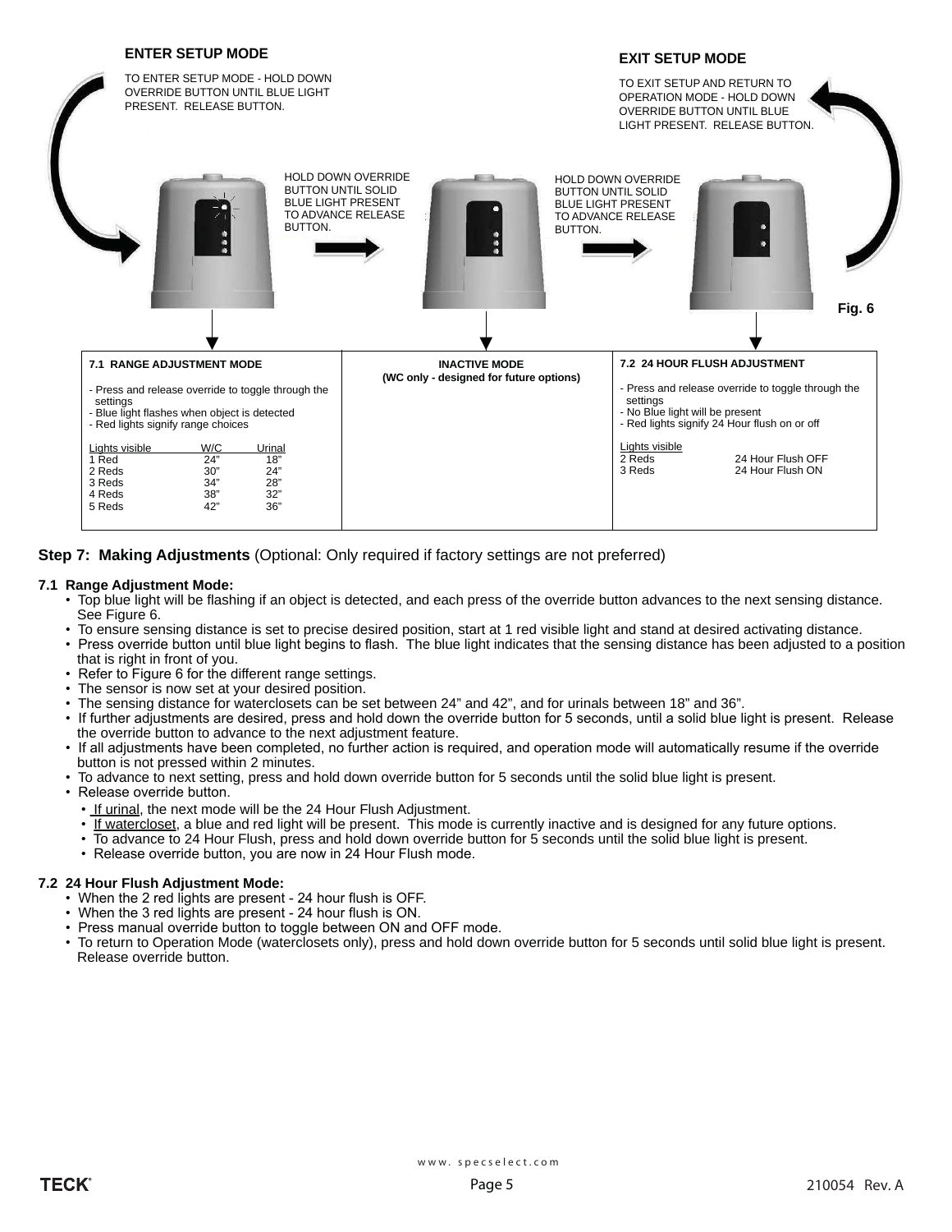

**Step 7: Making Adjustments** (Optional: Only required if factory settings are not preferred)

### **7.1 Range Adjustment Mode:**

- Top blue light will be flashing if an object is detected, and each press of the override button advances to the next sensing distance. See Figure 6.
- To ensure sensing distance is set to precise desired position, start at 1 red visible light and stand at desired activating distance.
- Press override button until blue light begins to flash. The blue light indicates that the sensing distance has been adjusted to a position that is right in front of you.
- Refer to Figure 6 for the different range settings.
- The sensor is now set at your desired position.
- The sensing distance for waterclosets can be set between 24" and 42", and for urinals between 18" and 36".
- If further adjustments are desired, press and hold down the override button for 5 seconds, until a solid blue light is present. Release the override button to advance to the next adjustment feature.
- If all adjustments have been completed, no further action is required, and operation mode will automatically resume if the override button is not pressed within 2 minutes.
- To advance to next setting, press and hold down override button for 5 seconds until the solid blue light is present.
- Release override button.
	- If urinal, the next mode will be the 24 Hour Flush Adjustment.
	- If watercloset, a blue and red light will be present. This mode is currently inactive and is designed for any future options.
	- To advance to 24 Hour Flush, press and hold down override button for 5 seconds until the solid blue light is present.
	- Release override button, you are now in 24 Hour Flush mode.

#### **7.2 24 Hour Flush Adjustment Mode:**

- When the 2 red lights are present 24 hour flush is OFF.
- When the 3 red lights are present 24 hour flush is ON.
- Press manual override button to toggle between ON and OFF mode.
- To return to Operation Mode (waterclosets only), press and hold down override button for 5 seconds until solid blue light is present. Release override button.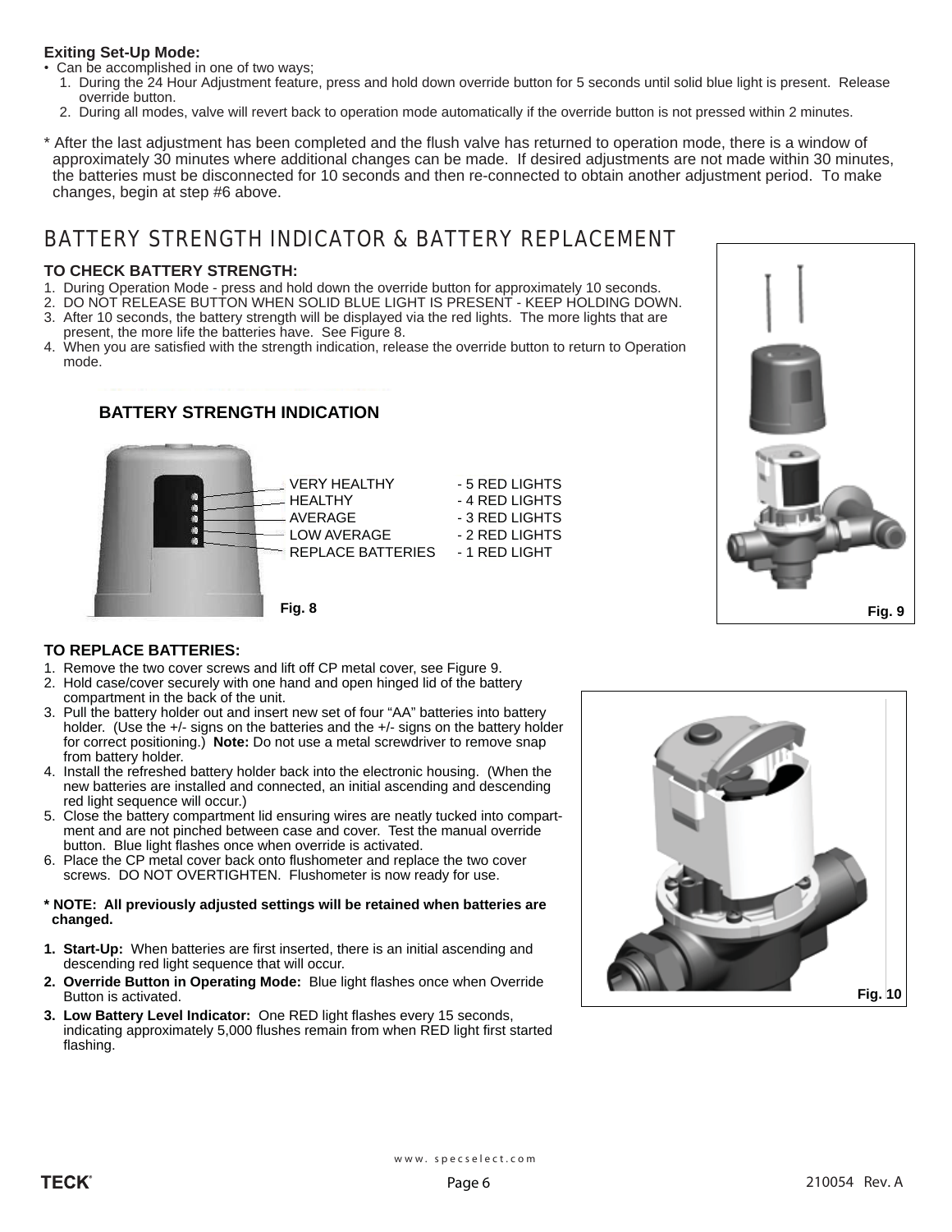### **Exiting Set-Up Mode:**

- Can be accomplished in one of two ways;
	- 1. During the 24 Hour Adjustment feature, press and hold down override button for 5 seconds until solid blue light is present. Release override button.
	- 2. During all modes, valve will revert back to operation mode automatically if the override button is not pressed within 2 minutes.
- \* After the last adjustment has been completed and the flush valve has returned to operation mode, there is a window of approximately 30 minutes where additional changes can be made. If desired adjustments are not made within 30 minutes, the batteries must be disconnected for 10 seconds and then re-connected to obtain another adjustment period. To make changes, begin at step #6 above.

# BATTERY STRENGTH INDICATOR & BATTERY REPLACEMENT

### **TO CHECK BATTERY STRENGTH:**

- 1. During Operation Mode press and hold down the override button for approximately 10 seconds.
- 2. DO NOT RELEASE BUTTON WHEN SOLID BLUE LIGHT IS PRESENT KEEP HOLDING DOWN.
- 3. After 10 seconds, the battery strength will be displayed via the red lights. The more lights that are present, the more life the batteries have. See Figure 8.
- 4. When you are satisfied with the strength indication, release the override button to return to Operation mode.

## **BATTERY STRENGTH INDICATION**





### **TO REPLACE BATTERIES:**

- 1. Remove the two cover screws and lift off CP metal cover, see Figure 9.
- 2. Hold case/cover securely with one hand and open hinged lid of the battery compartment in the back of the unit.
- 3. Pull the battery holder out and insert new set of four "AA" batteries into battery holder. (Use the +/- signs on the batteries and the +/- signs on the battery holder for correct positioning.) **Note:** Do not use a metal screwdriver to remove snap from battery holder.
- 4. Install the refreshed battery holder back into the electronic housing. (When the new batteries are installed and connected, an initial ascending and descending red light sequence will occur.)
- 5. Close the battery compartment lid ensuring wires are neatly tucked into compart ment and are not pinched between case and cover. Test the manual override button. Blue light flashes once when override is activated.
- 6. Place the CP metal cover back onto flushometer and replace the two cover screws. DO NOT OVERTIGHTEN. Flushometer is now ready for use.

### **\* NOTE: All previously adjusted settings will be retained when batteries are changed.**

- **1. Start-Up:** When batteries are first inserted, there is an initial ascending and descending red light sequence that will occur.
- **2. Override Button in Operating Mode:** Blue light flashes once when Override Button is activated.
- **3. Low Battery Level Indicator:** One RED light flashes every 15 seconds, indicating approximately 5,000 flushes remain from when RED light first started flashing.

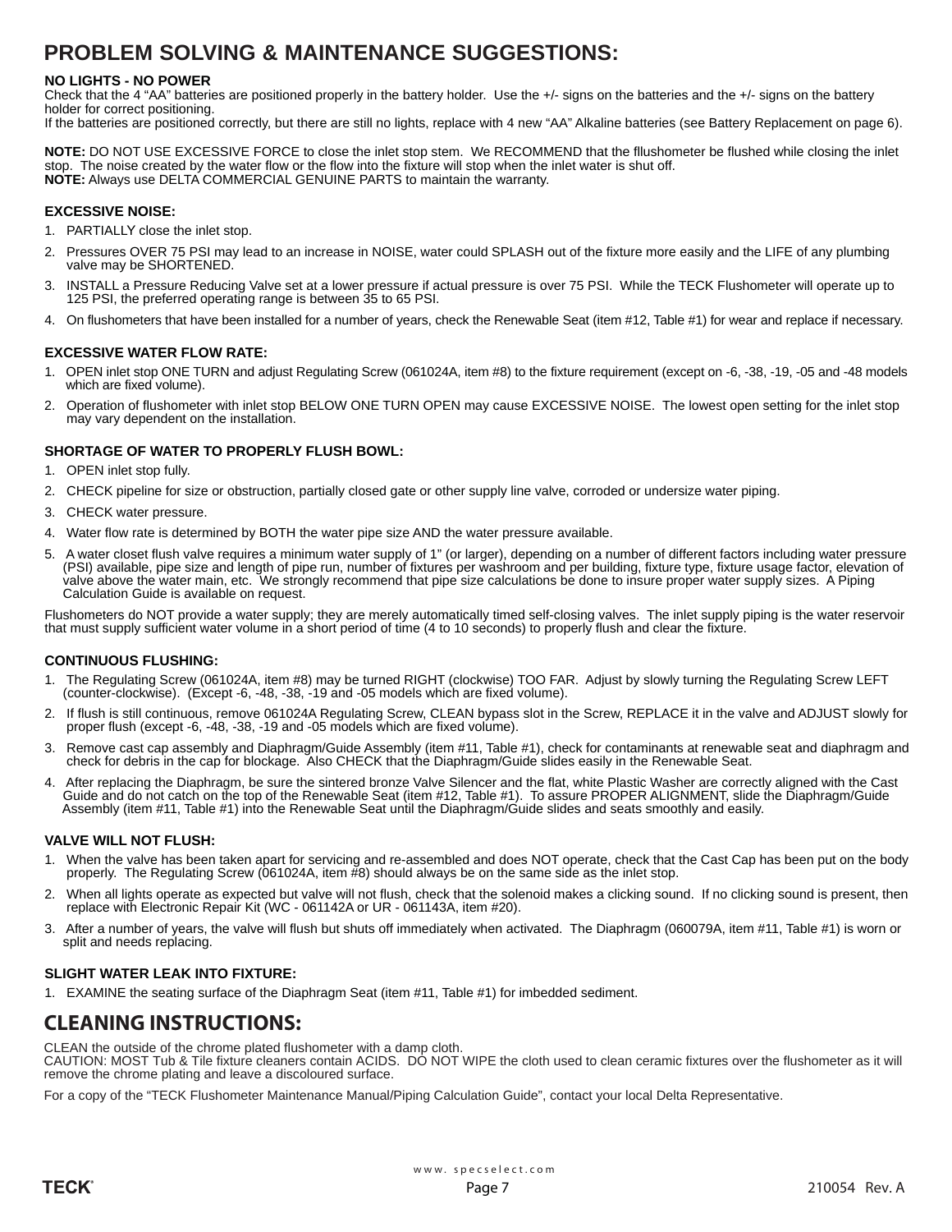## **PROBLEM SOLVING & MAINTENANCE SUGGESTIONS:**

### **NO LIGHTS - NO POWER**

Check that the 4 "AA" batteries are positioned properly in the battery holder. Use the +/- signs on the batteries and the +/- signs on the battery holder for correct positioning.

If the batteries are positioned correctly, but there are still no lights, replace with 4 new "AA" Alkaline batteries (see Battery Replacement on page 6).

**NOTE:** DO NOT USE EXCESSIVE FORCE to close the inlet stop stem. We RECOMMEND that the fllushometer be flushed while closing the inlet stop. The noise created by the water flow or the flow into the fixture will stop when the inlet water is shut off. **NOTE:** Always use DELTA COMMERCIAL GENUINE PARTS to maintain the warranty.

### **EXCESSIVE NOISE:**

- 1. PARTIALLY close the inlet stop.
- 2. Pressures OVER 75 PSI may lead to an increase in NOISE, water could SPLASH out of the fixture more easily and the LIFE of any plumbing valve may be SHORTENED.
- 3. INSTALL a Pressure Reducing Valve set at a lower pressure if actual pressure is over 75 PSI. While the TECK Flushometer will operate up to 125 PSI, the preferred operating range is between 35 to 65 PSI.
- 4. On flushometers that have been installed for a number of years, check the Renewable Seat (item #12, Table #1) for wear and replace if necessary.

### **EXCESSIVE WATER FLOW RATE:**

- 1. OPEN inlet stop ONE TURN and adjust Regulating Screw (061024A, item #8) to the fixture requirement (except on -6, -38, -19, -05 and -48 models which are fixed volume).
- 2. Operation of flushometer with inlet stop BELOW ONE TURN OPEN may cause EXCESSIVE NOISE. The lowest open setting for the inlet stop may vary dependent on the installation.

### **SHORTAGE OF WATER TO PROPERLY FLUSH BOWL:**

- 1. OPEN inlet stop fully.
- 2. CHECK pipeline for size or obstruction, partially closed gate or other supply line valve, corroded or undersize water piping.
- 3. CHECK water pressure.
- 4. Water flow rate is determined by BOTH the water pipe size AND the water pressure available.
- 5. A water closet flush valve requires a minimum water supply of 1" (or larger), depending on a number of different factors including water pressure (PSI) available, pipe size and length of pipe run, number of fixtures per washroom and per building, fixture type, fixture usage factor, elevation of valve above the water main, etc. We strongly recommend that pipe size calculations be done to insure proper water supply sizes. A Piping Calculation Guide is available on request.

Flushometers do NOT provide a water supply; they are merely automatically timed self-closing valves. The inlet supply piping is the water reservoir that must supply sufficient water volume in a short period of time (4 to 10 seconds) to properly flush and clear the fixture.

### **CONTINUOUS FLUSHING:**

- 1. The Regulating Screw (061024A, item #8) may be turned RIGHT (clockwise) TOO FAR. Adjust by slowly turning the Regulating Screw LEFT (counter-clockwise). (Except -6, -48, -38, -19 and -05 models which are fixed volume).
- 2. If flush is still continuous, remove 061024A Regulating Screw, CLEAN bypass slot in the Screw, REPLACE it in the valve and ADJUST slowly for proper flush (except -6, -48, -38, -19 and -05 models which are fixed volume).
- 3. Remove cast cap assembly and Diaphragm/Guide Assembly (item #11, Table #1), check for contaminants at renewable seat and diaphragm and check for debris in the cap for blockage. Also CHECK that the Diaphragm/Guide slides easily in the Renewable Seat.
- 4. After replacing the Diaphragm, be sure the sintered bronze Valve Silencer and the flat, white Plastic Washer are correctly aligned with the Cast Guide and do not catch on the top of the Renewable Seat (item #12, Table #1). To assure PROPER ALIGNMENT, slide the Diaphragm/Guide Assembly (item #11, Table #1) into the Renewable Seat until the Diaphragm/Guide slides and seats smoothly and easily.

### **VALVE WILL NOT FLUSH:**

- 1. When the valve has been taken apart for servicing and re-assembled and does NOT operate, check that the Cast Cap has been put on the body properly. The Regulating Screw (061024A, item #8) should always be on the same side as the inlet stop.
- 2. When all lights operate as expected but valve will not flush, check that the solenoid makes a clicking sound. If no clicking sound is present, then replace with Electronic Repair Kit (WC - 061142A or UR - 061143A, item #20).
- 3. After a number of years, the valve will flush but shuts off immediately when activated. The Diaphragm (060079A, item #11, Table #1) is worn or split and needs replacing.

### **SLIGHT WATER LEAK INTO FIXTURE:**

1. EXAMINE the seating surface of the Diaphragm Seat (item #11, Table #1) for imbedded sediment.

## **CLEANING INSTRUCTIONS:**

CLEAN the outside of the chrome plated flushometer with a damp cloth.

CAUTION: MOST Tub & Tile fixture cleaners contain ACIDS. DO NOT WIPE the cloth used to clean ceramic fixtures over the flushometer as it will remove the chrome plating and leave a discoloured surface.

For a copy of the "TECK Flushometer Maintenance Manual/Piping Calculation Guide", contact your local Delta Representative.